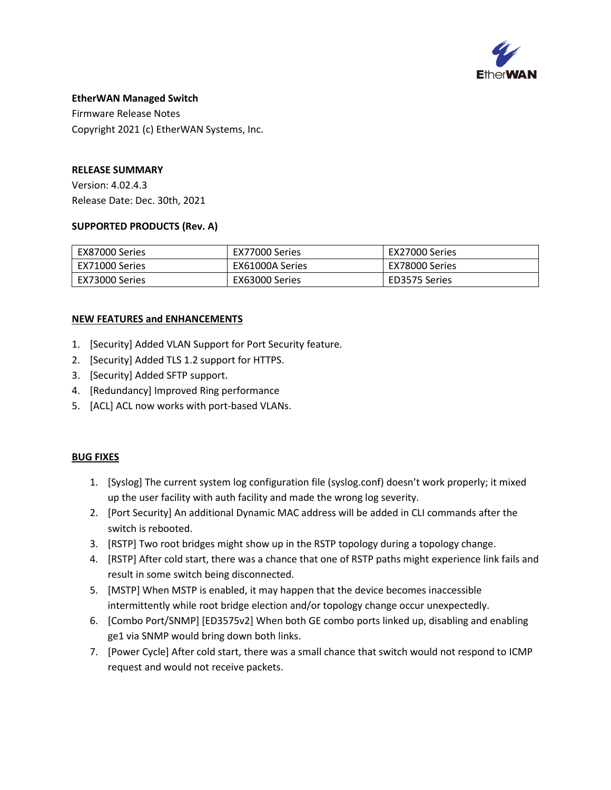

Firmware Release Notes Copyright 2021 (c) EtherWAN Systems, Inc.

### **RELEASE SUMMARY**

Version: 4.02.4.3 Release Date: Dec. 30th, 2021

### **SUPPORTED PRODUCTS (Rev. A)**

| EX87000 Series   | EX77000 Series  | EX27000 Series |
|------------------|-----------------|----------------|
| l EX71000 Series | EX61000A Series | EX78000 Series |
| EX73000 Series   | EX63000 Series  | ED3575 Series  |

### **NEW FEATURES and ENHANCEMENTS**

- 1. [Security] Added VLAN Support for Port Security feature.
- 2. [Security] Added TLS 1.2 support for HTTPS.
- 3. [Security] Added SFTP support.
- 4. [Redundancy] Improved Ring performance
- 5. [ACL] ACL now works with port-based VLANs.

#### **BUG FIXES**

- 1. [Syslog] The current system log configuration file (syslog.conf) doesn't work properly; it mixed up the user facility with auth facility and made the wrong log severity.
- 2. [Port Security] An additional Dynamic MAC address will be added in CLI commands after the switch is rebooted.
- 3. [RSTP] Two root bridges might show up in the RSTP topology during a topology change.
- 4. [RSTP] After cold start, there was a chance that one of RSTP paths might experience link fails and result in some switch being disconnected.
- 5. [MSTP] When MSTP is enabled, it may happen that the device becomes inaccessible intermittently while root bridge election and/or topology change occur unexpectedly.
- 6. [Combo Port/SNMP] [ED3575v2] When both GE combo ports linked up, disabling and enabling ge1 via SNMP would bring down both links.
- 7. [Power Cycle] After cold start, there was a small chance that switch would not respond to ICMP request and would not receive packets.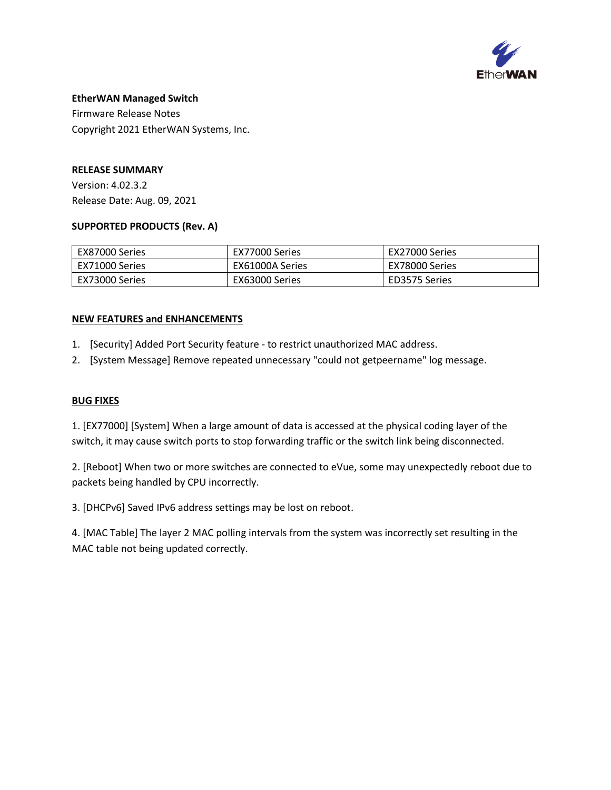

Firmware Release Notes Copyright 2021 EtherWAN Systems, Inc.

### **RELEASE SUMMARY**

Version: 4.02.3.2 Release Date: Aug. 09, 2021

### **SUPPORTED PRODUCTS (Rev. A)**

| EX87000 Series   | EX77000 Series  | EX27000 Series |
|------------------|-----------------|----------------|
| l EX71000 Series | EX61000A Series | EX78000 Series |
| l EX73000 Series | EX63000 Series  | ED3575 Series  |

### **NEW FEATURES and ENHANCEMENTS**

- 1. [Security] Added Port Security feature to restrict unauthorized MAC address.
- 2. [System Message] Remove repeated unnecessary "could not getpeername" log message.

### **BUG FIXES**

1. [EX77000] [System] When a large amount of data is accessed at the physical coding layer of the switch, it may cause switch ports to stop forwarding traffic or the switch link being disconnected.

2. [Reboot] When two or more switches are connected to eVue, some may unexpectedly reboot due to packets being handled by CPU incorrectly.

3. [DHCPv6] Saved IPv6 address settings may be lost on reboot.

4. [MAC Table] The layer 2 MAC polling intervals from the system was incorrectly set resulting in the MAC table not being updated correctly.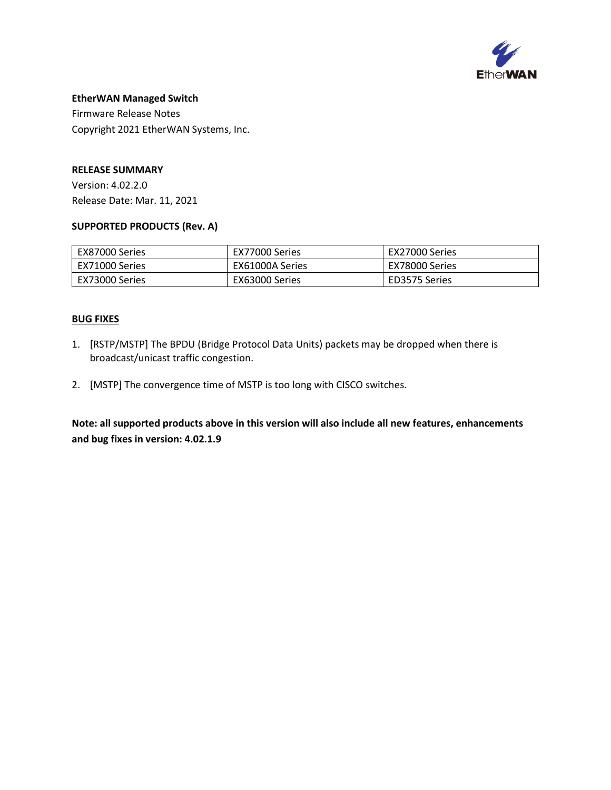

Firmware Release Notes Copyright 2021 EtherWAN Systems, Inc.

### **RELEASE SUMMARY**

Version: 4.02.2.0 Release Date: Mar. 11, 2021

### **SUPPORTED PRODUCTS (Rev. A)**

| EX87000 Series   | EX77000 Series  | EX27000 Series |
|------------------|-----------------|----------------|
| l EX71000 Series | EX61000A Series | EX78000 Series |
| EX73000 Series   | EX63000 Series  | ED3575 Series  |

### **BUG FIXES**

- 1. [RSTP/MSTP] The BPDU (Bridge Protocol Data Units) packets may be dropped when there is broadcast/unicast traffic congestion.
- 2. [MSTP] The convergence time of MSTP is too long with CISCO switches.

**Note: all supported products above in this version will also include all new features, enhancements and bug fixes in version: 4.02.1.9**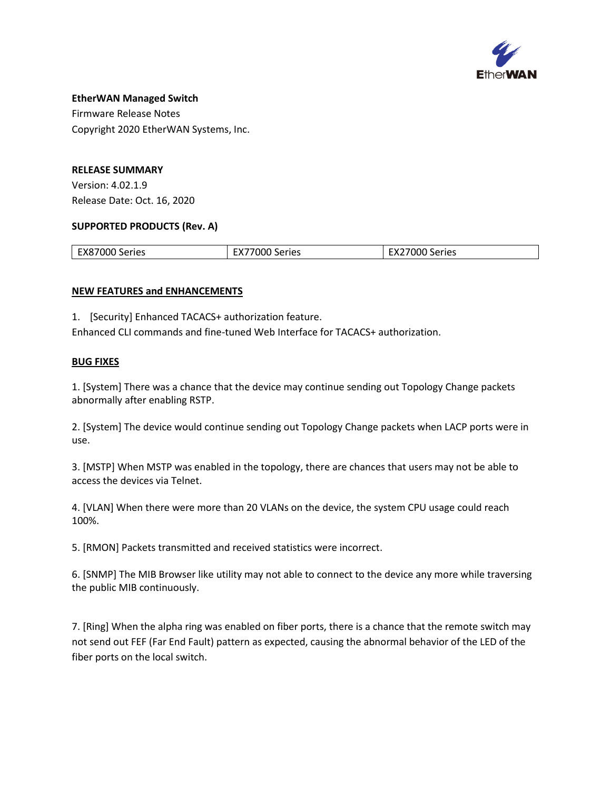

Firmware Release Notes Copyright 2020 EtherWAN Systems, Inc.

## **RELEASE SUMMARY**

Version: 4.02.1.9 Release Date: Oct. 16, 2020

### **SUPPORTED PRODUCTS (Rev. A)**

| EX87000<br>Series | 7000S<br>-w.<br>Series | Series<br>.<br>- |
|-------------------|------------------------|------------------|
|                   |                        |                  |

## **NEW FEATURES and ENHANCEMENTS**

1. [Security] Enhanced TACACS+ authorization feature.

Enhanced CLI commands and fine-tuned Web Interface for TACACS+ authorization.

## **BUG FIXES**

1. [System] There was a chance that the device may continue sending out Topology Change packets abnormally after enabling RSTP.

2. [System] The device would continue sending out Topology Change packets when LACP ports were in use.

3. [MSTP] When MSTP was enabled in the topology, there are chances that users may not be able to access the devices via Telnet.

4. [VLAN] When there were more than 20 VLANs on the device, the system CPU usage could reach 100%.

5. [RMON] Packets transmitted and received statistics were incorrect.

6. [SNMP] The MIB Browser like utility may not able to connect to the device any more while traversing the public MIB continuously.

7. [Ring] When the alpha ring was enabled on fiber ports, there is a chance that the remote switch may not send out FEF (Far End Fault) pattern as expected, causing the abnormal behavior of the LED of the fiber ports on the local switch.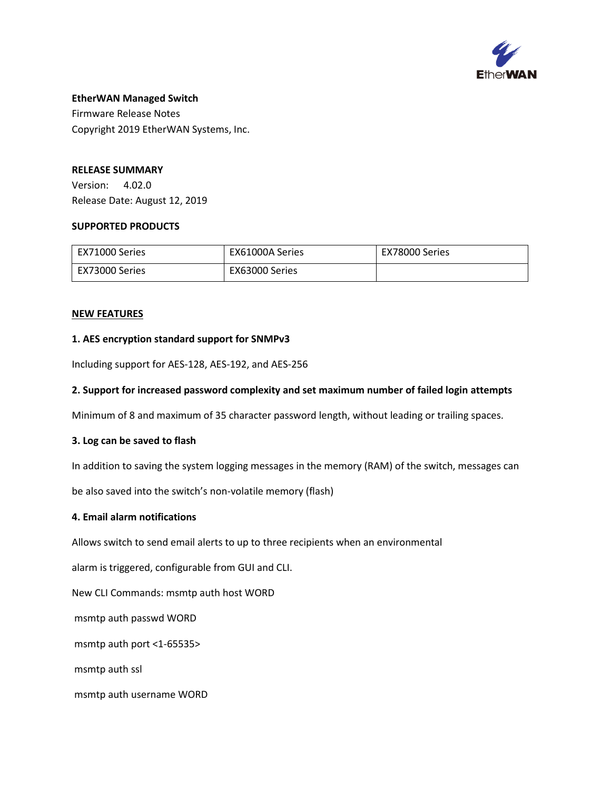

Firmware Release Notes Copyright 2019 EtherWAN Systems, Inc.

### **RELEASE SUMMARY**

Version: 4.02.0 Release Date: August 12, 2019

#### **SUPPORTED PRODUCTS**

| EX71000 Series | EX61000A Series | EX78000 Series |
|----------------|-----------------|----------------|
| EX73000 Series | EX63000 Series  |                |

#### **NEW FEATURES**

### **1. AES encryption standard support for SNMPv3**

Including support for AES-128, AES-192, and AES-256

### **2. Support for increased password complexity and set maximum number of failed login attempts**

Minimum of 8 and maximum of 35 character password length, without leading or trailing spaces.

#### **3. Log can be saved to flash**

In addition to saving the system logging messages in the memory (RAM) of the switch, messages can

be also saved into the switch's non-volatile memory (flash)

### **4. Email alarm notifications**

Allows switch to send email alerts to up to three recipients when an environmental

alarm is triggered, configurable from GUI and CLI.

New CLI Commands: msmtp auth host WORD

msmtp auth passwd WORD

msmtp auth port <1-65535>

msmtp auth ssl

msmtp auth username WORD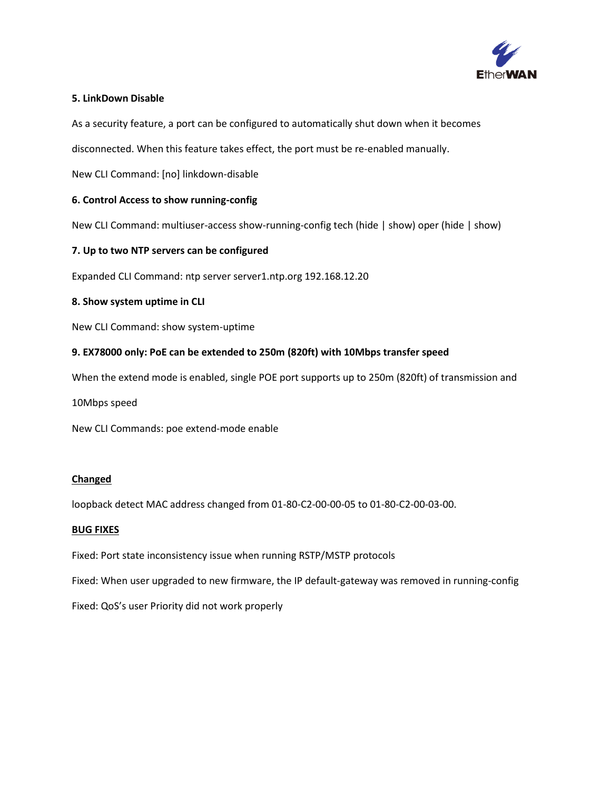

### **5. LinkDown Disable**

As a security feature, a port can be configured to automatically shut down when it becomes

disconnected. When this feature takes effect, the port must be re-enabled manually.

New CLI Command: [no] linkdown-disable

### **6. Control Access to show running-config**

New CLI Command: multiuser-access show-running-config tech (hide | show) oper (hide | show)

### **7. Up to two NTP servers can be configured**

Expanded CLI Command: ntp server server1.ntp.org 192.168.12.20

### **8. Show system uptime in CLI**

New CLI Command: show system-uptime

### **9. EX78000 only: PoE can be extended to 250m (820ft) with 10Mbps transfer speed**

When the extend mode is enabled, single POE port supports up to 250m (820ft) of transmission and

10Mbps speed

New CLI Commands: poe extend-mode enable

#### **Changed**

loopback detect MAC address changed from 01-80-C2-00-00-05 to 01-80-C2-00-03-00.

#### **BUG FIXES**

Fixed: Port state inconsistency issue when running RSTP/MSTP protocols

Fixed: When user upgraded to new firmware, the IP default-gateway was removed in running-config

Fixed: QoS's user Priority did not work properly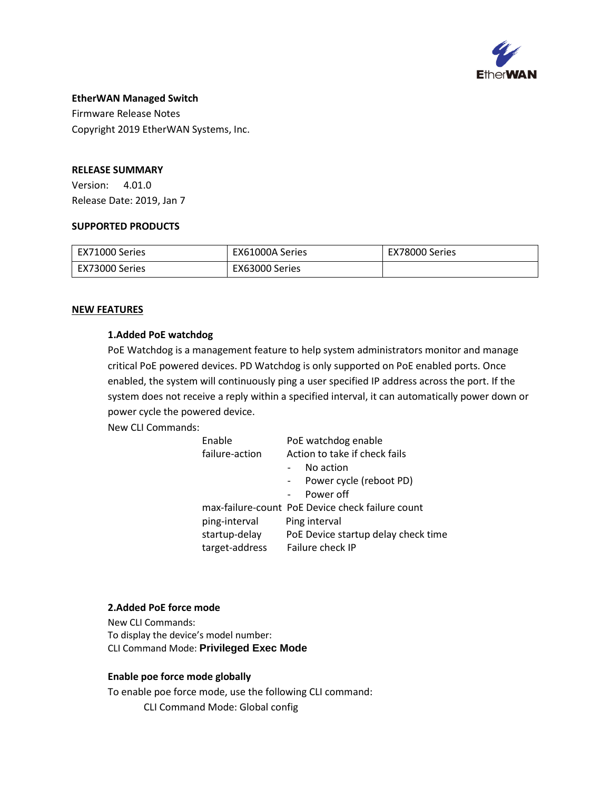

Firmware Release Notes Copyright 2019 EtherWAN Systems, Inc.

### **RELEASE SUMMARY**

Version: 4.01.0 Release Date: 2019, Jan 7

#### **SUPPORTED PRODUCTS**

| l EX71000 Series | EX61000A Series | EX78000 Series |
|------------------|-----------------|----------------|
| l EX73000 Series | EX63000 Series  |                |

### **NEW FEATURES**

### **1.Added PoE watchdog**

PoE Watchdog is a management feature to help system administrators monitor and manage critical PoE powered devices. PD Watchdog is only supported on PoE enabled ports. Once enabled, the system will continuously ping a user specified IP address across the port. If the system does not receive a reply within a specified interval, it can automatically power down or power cycle the powered device.

New CLI Commands:

| Enable         | PoE watchdog enable                              |
|----------------|--------------------------------------------------|
| failure-action | Action to take if check fails                    |
|                | No action                                        |
|                | Power cycle (reboot PD)                          |
|                | Power off                                        |
|                | max-failure-count PoE Device check failure count |
| ping-interval  | Ping interval                                    |
| startup-delay  | PoE Device startup delay check time              |
| target-address | Failure check IP                                 |
|                |                                                  |

#### **2.Added PoE force mode**

New CLI Commands: To display the device's model number: CLI Command Mode: **Privileged Exec Mode**

#### **Enable poe force mode globally**

To enable poe force mode, use the following CLI command: CLI Command Mode: Global config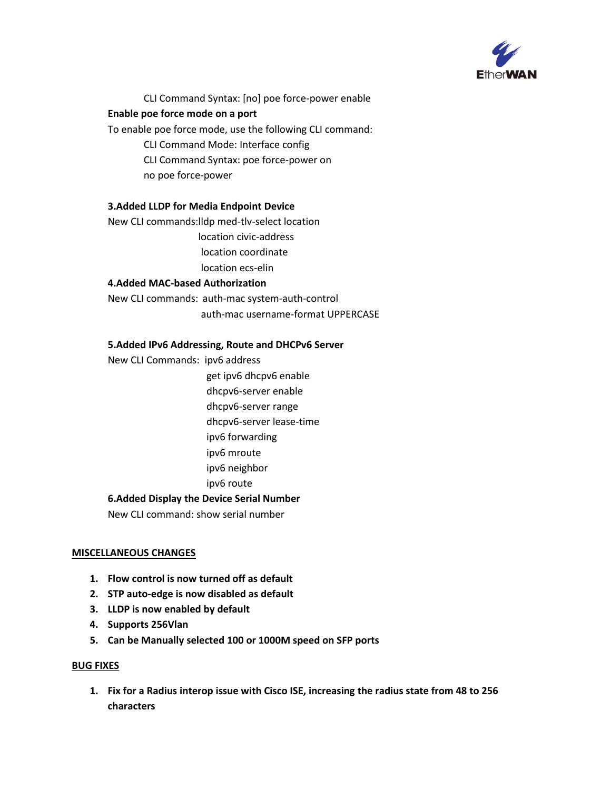

CLI Command Syntax: [no] poe force-power enable

## **Enable poe force mode on a port**

To enable poe force mode, use the following CLI command:

CLI Command Mode: Interface config

CLI Command Syntax: poe force-power on

no poe force-power

## **3.Added LLDP for Media Endpoint Device**

New CLI commands:lldp med-tlv-select location

location civic-address

location coordinate

location ecs-elin

## **4.Added MAC-based Authorization**

New CLI commands: auth-mac system-auth-control auth-mac username-format UPPERCASE

## **5.Added IPv6 Addressing, Route and DHCPv6 Server**

New CLI Commands: ipv6 address

get ipv6 dhcpv6 enable

dhcpv6-server enable

dhcpv6-server range

dhcpv6-server lease-time

ipv6 forwarding

ipv6 mroute

ipv6 neighbor

ipv6 route

### **6.Added Display the Device Serial Number**

New CLI command: show serial number

### **MISCELLANEOUS CHANGES**

- **1. Flow control is now turned off as default**
- **2. STP auto-edge is now disabled as default**
- **3. LLDP is now enabled by default**
- **4. Supports 256Vlan**
- **5. Can be Manually selected 100 or 1000M speed on SFP ports**

#### **BUG FIXES**

**1. Fix for a Radius interop issue with Cisco ISE, increasing the radius state from 48 to 256 characters**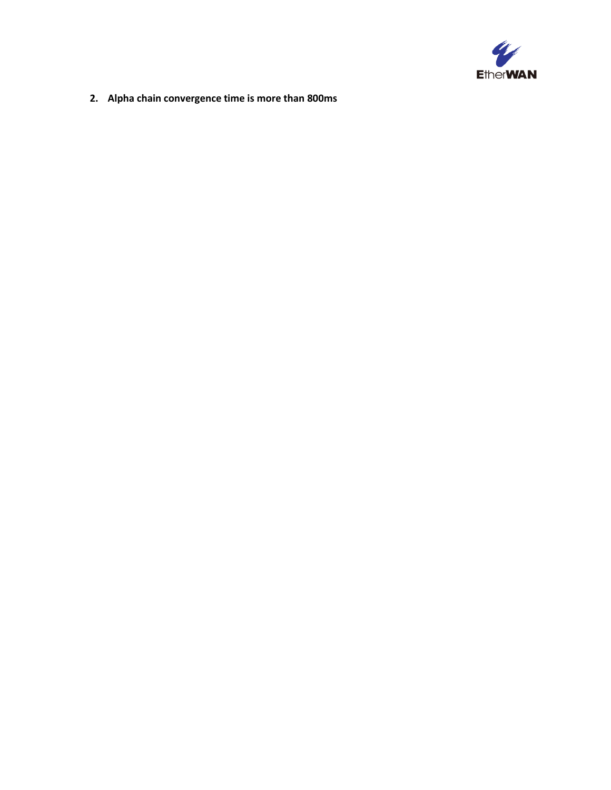

**2. Alpha chain convergence time is more than 800ms**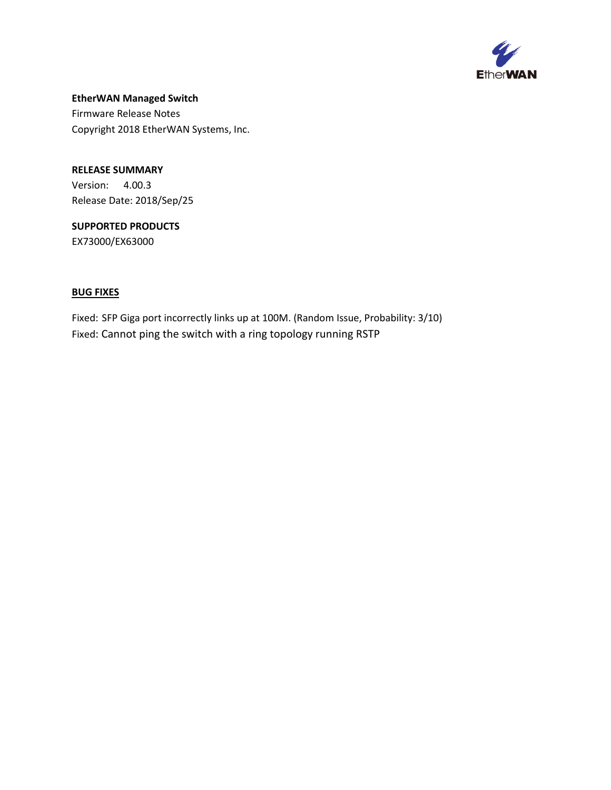

**EtherWAN Managed Switch**  Firmware Release Notes Copyright 2018 EtherWAN Systems, Inc.

**RELEASE SUMMARY** Version: 4.00.3 Release Date: 2018/Sep/25

**SUPPORTED PRODUCTS** EX73000/EX63000

## **BUG FIXES**

Fixed: SFP Giga port incorrectly links up at 100M. (Random Issue, Probability: 3/10) Fixed: Cannot ping the switch with a ring topology running RSTP